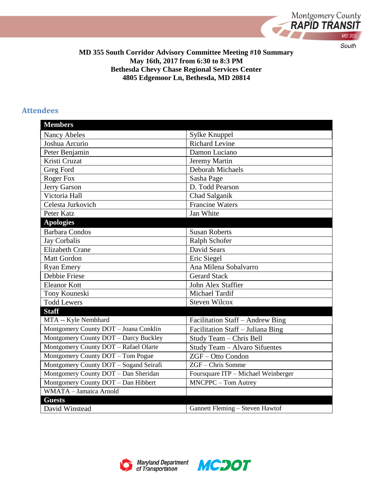

**MD 355 South Corridor Advisory Committee Meeting #10 Summary May 16th, 2017 from 6:30 to 8:3 PM Bethesda Chevy Chase Regional Services Center 4805 Edgemoor Ln, Bethesda, MD 20814**

#### **Attendees**

| <b>Members</b>                         |                                     |
|----------------------------------------|-------------------------------------|
| <b>Nancy Abeles</b>                    | Sylke Knuppel                       |
| Joshua Arcurio                         | <b>Richard Levine</b>               |
| Peter Benjamin                         | Damon Luciano                       |
| Kristi Cruzat                          | Jeremy Martin                       |
| Greg Ford                              | Deborah Michaels                    |
| <b>Roger Fox</b>                       | Sasha Page                          |
| Jerry Garson                           | D. Todd Pearson                     |
| Victoria Hall                          | Chad Salganik                       |
| Celesta Jurkovich                      | <b>Francine Waters</b>              |
| Peter Katz                             | Jan White                           |
| <b>Apologies</b>                       |                                     |
| <b>Barbara Condos</b>                  | <b>Susan Roberts</b>                |
| Jay Corbalis                           | Ralph Schofer                       |
| <b>Elizabeth Crane</b>                 | David Sears                         |
| <b>Matt Gordon</b>                     | Eric Siegel                         |
| <b>Ryan Emery</b>                      | Ana Milena Sobalvarro               |
| Debbie Friese                          | <b>Gerard Stack</b>                 |
| <b>Eleanor Kott</b>                    | John Alex Staffier                  |
| Tony Kouneski                          | Michael Tardif                      |
| <b>Todd Lewers</b>                     | <b>Steven Wilcox</b>                |
| <b>Staff</b>                           |                                     |
| MTA -- Kyle Nembhard                   | Facilitation Staff - Andrew Bing    |
| Montgomery County DOT - Joana Conklin  | Facilitation Staff - Juliana Bing   |
| Montgomery County DOT - Darcy Buckley  | Study Team - Chris Bell             |
| Montgomery County DOT - Rafael Olarte  | Study Team - Alvaro Sifuentes       |
| Montgomery County DOT - Tom Pogue      | ZGF-Otto Condon                     |
| Montgomery County DOT - Sogand Seirafi | ZGF - Chris Somme                   |
| Montgomery County DOT - Dan Sheridan   | Foursquare ITP - Michael Weinberger |
| Montgomery County DOT - Dan Hibbert    | MNCPPC - Tom Autrey                 |
| WMATA - Jamaica Arnold                 |                                     |
| <b>Guests</b>                          |                                     |
| David Winstead                         | Gannett Fleming - Steven Hawtof     |



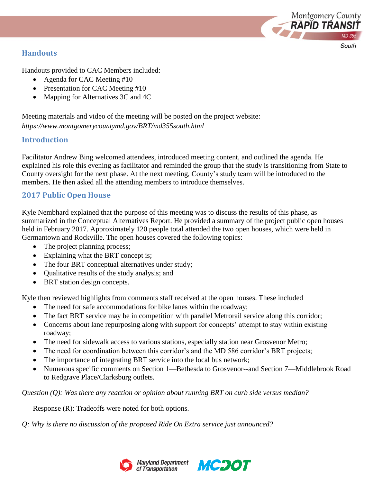

### **Handouts**

Handouts provided to CAC Members included:

- Agenda for CAC Meeting #10
- Presentation for CAC Meeting #10
- Mapping for Alternatives 3C and 4C

Meeting materials and video of the meeting will be posted on the project website: *https://www.montgomerycountymd.gov/BRT/md355south.html* 

# **Introduction**

Facilitator Andrew Bing welcomed attendees, introduced meeting content, and outlined the agenda. He explained his role this evening as facilitator and reminded the group that the study is transitioning from State to County oversight for the next phase. At the next meeting, County's study team will be introduced to the members. He then asked all the attending members to introduce themselves.

# **2017 Public Open House**

Kyle Nembhard explained that the purpose of this meeting was to discuss the results of this phase, as summarized in the Conceptual Alternatives Report. He provided a summary of the project public open houses held in February 2017. Approximately 120 people total attended the two open houses, which were held in Germantown and Rockville. The open houses covered the following topics:

- The project planning process;
- Explaining what the BRT concept is;
- The four BRT conceptual alternatives under study;
- Qualitative results of the study analysis; and
- BRT station design concepts.

Kyle then reviewed highlights from comments staff received at the open houses. These included

- The need for safe accommodations for bike lanes within the roadway;
- The fact BRT service may be in competition with parallel Metrorail service along this corridor;
- Concerns about lane repurposing along with support for concepts' attempt to stay within existing roadway;
- The need for sidewalk access to various stations, especially station near Grosvenor Metro;
- The need for coordination between this corridor's and the MD 586 corridor's BRT projects;
- The importance of integrating BRT service into the local bus network;
- Numerous specific comments on Section 1—Bethesda to Grosvenor--and Section 7—Middlebrook Road to Redgrave Place/Clarksburg outlets.

#### *Question (Q): Was there any reaction or opinion about running BRT on curb side versus median?*

Response (R): Tradeoffs were noted for both options.

*Q: Why is there no discussion of the proposed Ride On Extra service just announced?*



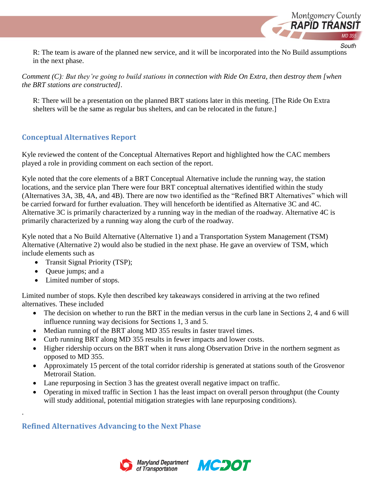

South

R: The team is aware of the planned new service, and it will be incorporated into the No Build assumptions in the next phase.

*Comment (C): But they're going to build stations in connection with Ride On Extra, then destroy them [when the BRT stations are constructed].*

R: There will be a presentation on the planned BRT stations later in this meeting. [The Ride On Extra shelters will be the same as regular bus shelters, and can be relocated in the future.]

### **Conceptual Alternatives Report**

Kyle reviewed the content of the Conceptual Alternatives Report and highlighted how the CAC members played a role in providing comment on each section of the report.

Kyle noted that the core elements of a BRT Conceptual Alternative include the running way, the station locations, and the service plan There were four BRT conceptual alternatives identified within the study (Alternatives 3A, 3B, 4A, and 4B). There are now two identified as the "Refined BRT Alternatives" which will be carried forward for further evaluation. They will henceforth be identified as Alternative 3C and 4C. Alternative 3C is primarily characterized by a running way in the median of the roadway. Alternative 4C is primarily characterized by a running way along the curb of the roadway.

Kyle noted that a No Build Alternative (Alternative 1) and a Transportation System Management (TSM) Alternative (Alternative 2) would also be studied in the next phase. He gave an overview of TSM, which include elements such as

- Transit Signal Priority (TSP);
- Queue jumps; and a

.

• Limited number of stops.

Limited number of stops. Kyle then described key takeaways considered in arriving at the two refined alternatives. These included

- The decision on whether to run the BRT in the median versus in the curb lane in Sections 2, 4 and 6 will influence running way decisions for Sections 1, 3 and 5.
- Median running of the BRT along MD 355 results in faster travel times.
- Curb running BRT along MD 355 results in fewer impacts and lower costs.
- Higher ridership occurs on the BRT when it runs along Observation Drive in the northern segment as opposed to MD 355.
- Approximately 15 percent of the total corridor ridership is generated at stations south of the Grosvenor Metrorail Station.
- Lane repurposing in Section 3 has the greatest overall negative impact on traffic.
- Operating in mixed traffic in Section 1 has the least impact on overall person throughput (the County will study additional, potential mitigation strategies with lane repurposing conditions).

### **Refined Alternatives Advancing to the Next Phase**



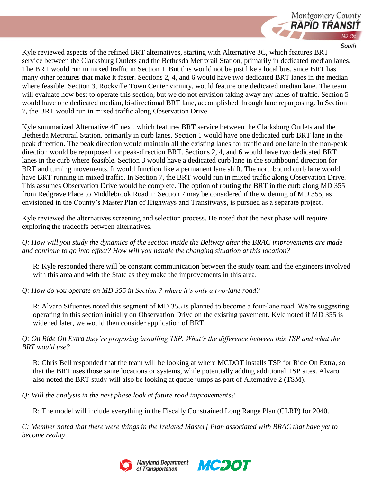

Kyle reviewed aspects of the refined BRT alternatives, starting with Alternative 3C, which features BRT service between the Clarksburg Outlets and the Bethesda Metrorail Station, primarily in dedicated median lanes. The BRT would run in mixed traffic in Section 1. But this would not be just like a local bus, since BRT has many other features that make it faster. Sections 2, 4, and 6 would have two dedicated BRT lanes in the median where feasible. Section 3, Rockville Town Center vicinity, would feature one dedicated median lane. The team will evaluate how best to operate this section, but we do not envision taking away any lanes of traffic. Section 5 would have one dedicated median, bi-directional BRT lane, accomplished through lane repurposing. In Section 7, the BRT would run in mixed traffic along Observation Drive.

Kyle summarized Alternative 4C next, which features BRT service between the Clarksburg Outlets and the Bethesda Metrorail Station, primarily in curb lanes. Section 1 would have one dedicated curb BRT lane in the peak direction. The peak direction would maintain all the existing lanes for traffic and one lane in the non-peak direction would be repurposed for peak-direction BRT. Sections 2, 4, and 6 would have two dedicated BRT lanes in the curb where feasible. Section 3 would have a dedicated curb lane in the southbound direction for BRT and turning movements. It would function like a permanent lane shift. The northbound curb lane would have BRT running in mixed traffic. In Section 7, the BRT would run in mixed traffic along Observation Drive. This assumes Observation Drive would be complete. The option of routing the BRT in the curb along MD 355 from Redgrave Place to Middlebrook Road in Section 7 may be considered if the widening of MD 355, as envisioned in the County's Master Plan of Highways and Transitways, is pursued as a separate project.

Kyle reviewed the alternatives screening and selection process. He noted that the next phase will require exploring the tradeoffs between alternatives.

*Q: How will you study the dynamics of the section inside the Beltway after the BRAC improvements are made and continue to go into effect? How will you handle the changing situation at this location?*

R: Kyle responded there will be constant communication between the study team and the engineers involved with this area and with the State as they make the improvements in this area.

*Q: How do you operate on MD 355 in Section 7 where it's only a two-lane road?*

R: Alvaro Sifuentes noted this segment of MD 355 is planned to become a four-lane road. We're suggesting operating in this section initially on Observation Drive on the existing pavement. Kyle noted if MD 355 is widened later, we would then consider application of BRT.

*Q: On Ride On Extra they're proposing installing TSP. What's the difference between this TSP and what the BRT would use?*

R: Chris Bell responded that the team will be looking at where MCDOT installs TSP for Ride On Extra, so that the BRT uses those same locations or systems, while potentially adding additional TSP sites. Alvaro also noted the BRT study will also be looking at queue jumps as part of Alternative 2 (TSM).

*Q: Will the analysis in the next phase look at future road improvements?*

R: The model will include everything in the Fiscally Constrained Long Range Plan (CLRP) for 2040.

*C: Member noted that there were things in the [related Master] Plan associated with BRAC that have yet to become reality.*



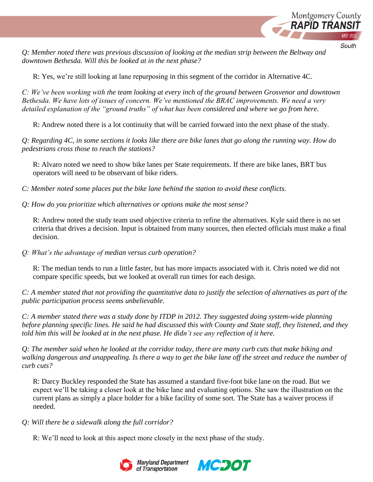

*Q: Member noted there was previous discussion of looking at the median strip between the Beltway and downtown Bethesda. Will this be looked at in the next phase?*

R: Yes, we're still looking at lane repurposing in this segment of the corridor in Alternative 4C.

*C: We've been working with the team looking at every inch of the ground between Grosvenor and downtown Bethesda. We have lots of issues of concern. We've mentioned the BRAC improvements. We need a very detailed explanation of the "ground truths" of what has been considered and where we go from here.*

R: Andrew noted there is a lot continuity that will be carried forward into the next phase of the study.

*Q: Regarding 4C, in some sections it looks like there are bike lanes that go along the running way. How do pedestrians cross those to reach the stations?*

R: Alvaro noted we need to show bike lanes per State requirements. If there are bike lanes, BRT bus operators will need to be observant of bike riders.

*C: Member noted some places put the bike lane behind the station to avoid these conflicts.*

*Q: How do you prioritize which alternatives or options make the most sense?*

R: Andrew noted the study team used objective criteria to refine the alternatives. Kyle said there is no set criteria that drives a decision. Input is obtained from many sources, then elected officials must make a final decision.

*Q: What's the advantage of median versus curb operation?*

R: The median tends to run a little faster, but has more impacts associated with it. Chris noted we did not compare specific speeds, but we looked at overall run times for each design.

*C: A member stated that not providing the quantitative data to justify the selection of alternatives as part of the public participation process seems unbelievable.*

*C: A member stated there was a study done by ITDP in 2012. They suggested doing system-wide planning before planning specific lines. He said he had discussed this with County and State staff, they listened, and they told him this will be looked at in the next phase. He didn't see any reflection of it here.*

*Q: The member said when he looked at the corridor today, there are many curb cuts that make biking and walking dangerous and unappealing. Is there a way to get the bike lane off the street and reduce the number of curb cuts?*

R: Darcy Buckley responded the State has assumed a standard five-foot bike lane on the road. But we expect we'll be taking a closer look at the bike lane and evaluating options. She saw the illustration on the current plans as simply a place holder for a bike facility of some sort. The State has a waiver process if needed.

#### *Q: Will there be a sidewalk along the full corridor?*

R: We'll need to look at this aspect more closely in the next phase of the study.



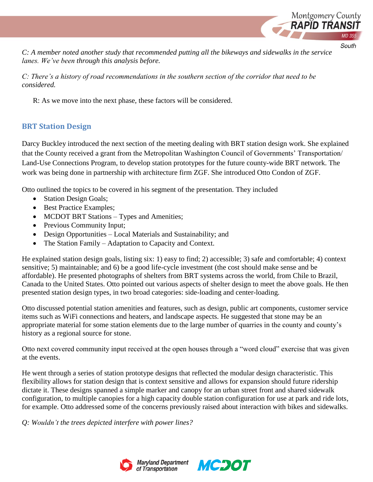

*C: A member noted another study that recommended putting all the bikeways and sidewalks in the service lanes. We've been through this analysis before.*

*C: There's a history of road recommendations in the southern section of the corridor that need to be considered.*

R: As we move into the next phase, these factors will be considered.

# **BRT Station Design**

Darcy Buckley introduced the next section of the meeting dealing with BRT station design work. She explained that the County received a grant from the Metropolitan Washington Council of Governments' Transportation/ Land-Use Connections Program, to develop station prototypes for the future county-wide BRT network. The work was being done in partnership with architecture firm ZGF. She introduced Otto Condon of ZGF.

Otto outlined the topics to be covered in his segment of the presentation. They included

- Station Design Goals;
- Best Practice Examples;
- MCDOT BRT Stations Types and Amenities;
- Previous Community Input;
- Design Opportunities Local Materials and Sustainability; and
- The Station Family Adaptation to Capacity and Context.

He explained station design goals, listing six: 1) easy to find; 2) accessible; 3) safe and comfortable; 4) context sensitive; 5) maintainable; and 6) be a good life-cycle investment (the cost should make sense and be affordable). He presented photographs of shelters from BRT systems across the world, from Chile to Brazil, Canada to the United States. Otto pointed out various aspects of shelter design to meet the above goals. He then presented station design types, in two broad categories: side-loading and center-loading.

Otto discussed potential station amenities and features, such as design, public art components, customer service items such as WiFi connections and heaters, and landscape aspects. He suggested that stone may be an appropriate material for some station elements due to the large number of quarries in the county and county's history as a regional source for stone.

Otto next covered community input received at the open houses through a "word cloud" exercise that was given at the events.

He went through a series of station prototype designs that reflected the modular design characteristic. This flexibility allows for station design that is context sensitive and allows for expansion should future ridership dictate it. These designs spanned a simple marker and canopy for an urban street front and shared sidewalk configuration, to multiple canopies for a high capacity double station configuration for use at park and ride lots, for example. Otto addressed some of the concerns previously raised about interaction with bikes and sidewalks.

*Q: Wouldn't the trees depicted interfere with power lines?*



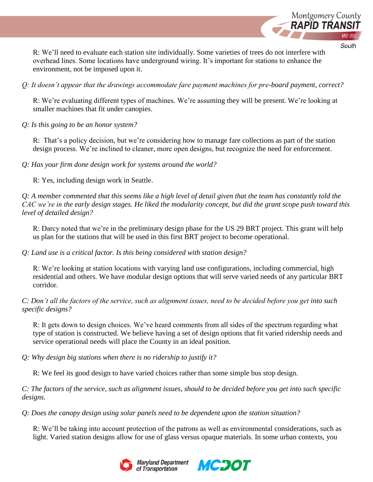

South

R: We'll need to evaluate each station site individually. Some varieties of trees do not interfere with overhead lines. Some locations have underground wiring. It's important for stations to enhance the environment, not be imposed upon it.

*Q: It doesn't appear that the drawings accommodate fare payment machines for pre-board payment, correct?*

R: We're evaluating different types of machines. We're assuming they will be present. We're looking at smaller machines that fit under canopies.

*Q: Is this going to be an honor system?*

R: That's a policy decision, but we're considering how to manage fare collections as part of the station design process. We're inclined to cleaner, more open designs, but recognize the need for enforcement.

*Q: Has your firm done design work for systems around the world?*

R: Yes, including design work in Seattle.

*Q: A member commented that this seems like a high level of detail given that the team has constantly told the CAC we're in the early design stages. He liked the modularity concept, but did the grant scope push toward this level of detailed design?*

R: Darcy noted that we're in the preliminary design phase for the US 29 BRT project. This grant will help us plan for the stations that will be used in this first BRT project to become operational.

*Q: Land use is a critical factor. Is this being considered with station design?*

R: We're looking at station locations with varying land use configurations, including commercial, high residential and others. We have modular design options that will serve varied needs of any particular BRT corridor.

*C: Don't all the factors of the service, such as alignment issues, need to be decided before you get into such specific designs?*

R: It gets down to design choices. We've heard comments from all sides of the spectrum regarding what type of station is constructed. We believe having a set of design options that fit varied ridership needs and service operational needs will place the County in an ideal position.

*Q: Why design big stations when there is no ridership to justify it?*

R: We feel its good design to have varied choices rather than some simple bus stop design.

*C: The factors of the service, such as alignment issues, should to be decided before you get into such specific designs.*

*Q: Does the canopy design using solar panels need to be dependent upon the station situation?*

R: We'll be taking into account protection of the patrons as well as environmental considerations, such as light. Varied station designs allow for use of glass versus opaque materials. In some urban contexts, you



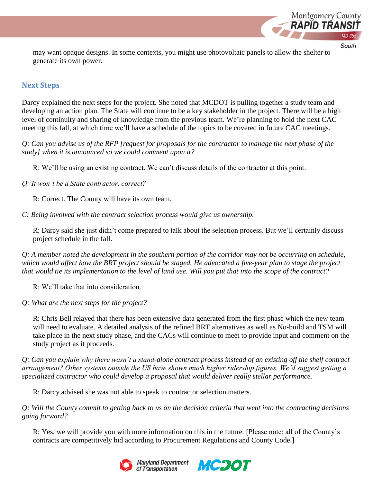

may want opaque designs. In some contexts, you might use photovoltaic panels to allow the shelter to generate its own power.

### **Next Steps**

Darcy explained the next steps for the project. She noted that MCDOT is pulling together a study team and developing an action plan. The State will continue to be a key stakeholder in the project. There will be a high level of continuity and sharing of knowledge from the previous team. We're planning to hold the next CAC meeting this fall, at which time we'll have a schedule of the topics to be covered in future CAC meetings.

*Q: Can you advise us of the RFP [request for proposals for the contractor to manage the next phase of the study] when it is announced so we could comment upon it?*

R: We'll be using an existing contract. We can't discuss details of the contractor at this point.

*Q: It won't be a State contractor, correct?*

R: Correct. The County will have its own team.

*C: Being involved with the contract selection process would give us ownership.*

R: Darcy said she just didn't come prepared to talk about the selection process. But we'll certainly discuss project schedule in the fall.

*Q: A member noted the development in the southern portion of the corridor may not be occurring on schedule, which would affect how the BRT project should be staged. He advocated a five-year plan to stage the project that would tie its implementation to the level of land use. Will you put that into the scope of the contract?*

R: We'll take that into consideration.

*Q: What are the next steps for the project?*

R: Chris Bell relayed that there has been extensive data generated from the first phase which the new team will need to evaluate. A detailed analysis of the refined BRT alternatives as well as No-build and TSM will take place in the next study phase, and the CACs will continue to meet to provide input and comment on the study project as it proceeds.

*Q: Can you explain why there wasn't a stand-alone contract process instead of an existing off the shelf contract arrangement? Other systems outside the US have shown much higher ridership figures. We'd suggest getting a specialized contractor who could develop a proposal that would deliver really stellar performance.*

R: Darcy advised she was not able to speak to contractor selection matters.

*Q: Will the County commit to getting back to us on the decision criteria that went into the contracting decisions going forward?*

R: Yes, we will provide you with more information on this in the future. [Please note: all of the County's contracts are competitively bid according to Procurement Regulations and County Code.]